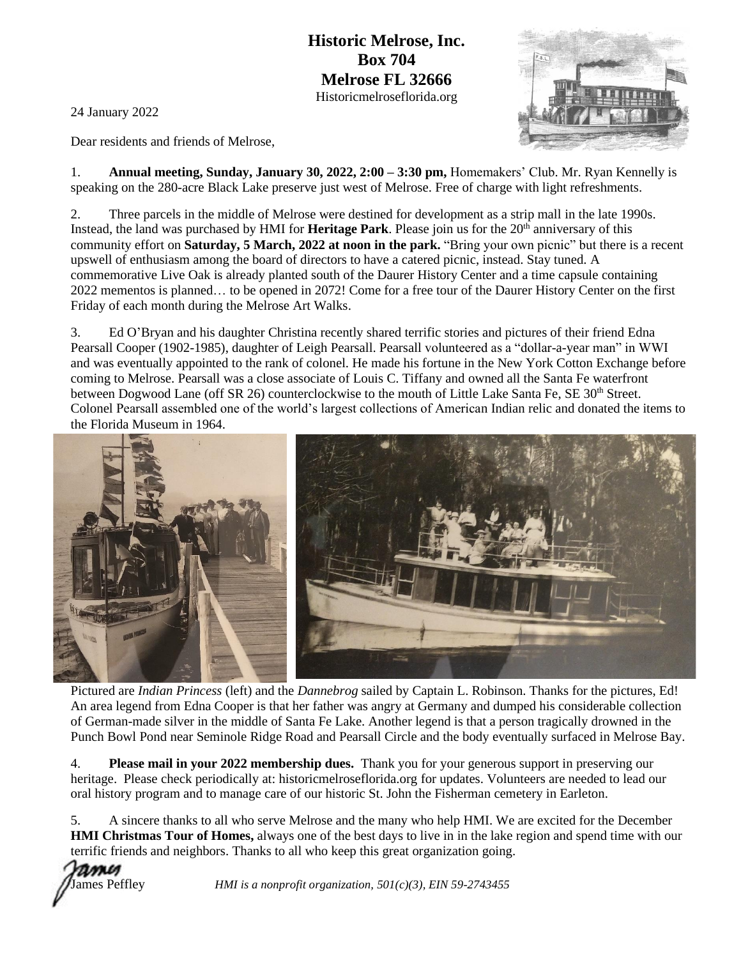**Historic Melrose, Inc. Box 704 Melrose FL 32666** Historicmelroseflorida.org

24 January 2022

Dear residents and friends of Melrose,

1. **Annual meeting, Sunday, January 30, 2022, 2:00 – 3:30 pm,** Homemakers' Club. Mr. Ryan Kennelly is speaking on the 280-acre Black Lake preserve just west of Melrose. Free of charge with light refreshments.

2. Three parcels in the middle of Melrose were destined for development as a strip mall in the late 1990s. Instead, the land was purchased by HMI for **Heritage Park**. Please join us for the 20th anniversary of this community effort on **Saturday, 5 March, 2022 at noon in the park.** "Bring your own picnic" but there is a recent upswell of enthusiasm among the board of directors to have a catered picnic, instead. Stay tuned. A commemorative Live Oak is already planted south of the Daurer History Center and a time capsule containing 2022 mementos is planned… to be opened in 2072! Come for a free tour of the Daurer History Center on the first Friday of each month during the Melrose Art Walks.

3. Ed O'Bryan and his daughter Christina recently shared terrific stories and pictures of their friend Edna Pearsall Cooper (1902-1985), daughter of Leigh Pearsall. Pearsall volunteered as a "dollar-a-year man" in WWI and was eventually appointed to the rank of colonel. He made his fortune in the New York Cotton Exchange before coming to Melrose. Pearsall was a close associate of Louis C. Tiffany and owned all the Santa Fe waterfront between Dogwood Lane (off SR 26) counterclockwise to the mouth of Little Lake Santa Fe, SE 30<sup>th</sup> Street. Colonel Pearsall assembled one of the world's largest collections of American Indian relic and donated the items to the Florida Museum in 1964.



Pictured are *Indian Princess* (left) and the *Dannebrog* sailed by Captain L. Robinson. Thanks for the pictures, Ed! An area legend from Edna Cooper is that her father was angry at Germany and dumped his considerable collection of German-made silver in the middle of Santa Fe Lake. Another legend is that a person tragically drowned in the Punch Bowl Pond near Seminole Ridge Road and Pearsall Circle and the body eventually surfaced in Melrose Bay.

4. **Please mail in your 2022 membership dues.** Thank you for your generous support in preserving our heritage. Please check periodically at: historicmelroseflorida.org for updates. Volunteers are needed to lead our oral history program and to manage care of our historic St. John the Fisherman cemetery in Earleton.

5. A sincere thanks to all who serve Melrose and the many who help HMI. We are excited for the December **HMI Christmas Tour of Homes,** always one of the best days to live in in the lake region and spend time with our terrific friends and neighbors. Thanks to all who keep this great organization going.



James Peffley *HMI is a nonprofit organization, 501(c)(3), EIN 59-2743455*